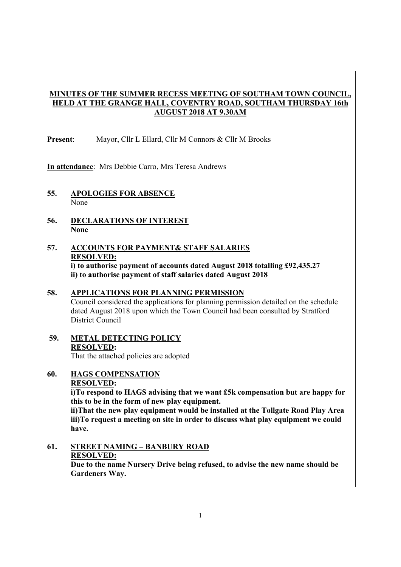## **MINUTES OF THE SUMMER RECESS MEETING OF SOUTHAM TOWN COUNCIL, HELD AT THE GRANGE HALL, COVENTRY ROAD, SOUTHAM THURSDAY 16th AUGUST 2018 AT 9.30AM**

**Present**: Mayor, Cllr L Ellard, Cllr M Connors & Cllr M Brooks

**In attendance**: Mrs Debbie Carro, Mrs Teresa Andrews

- **55. APOLOGIES FOR ABSENCE**  None
- **56. DECLARATIONS OF INTEREST None**
- **57. ACCOUNTS FOR PAYMENT& STAFF SALARIES RESOLVED: i) to authorise payment of accounts dated August 2018 totalling £92,435.27 ii) to authorise payment of staff salaries dated August 2018**

## **58. APPLICATIONS FOR PLANNING PERMISSION**  Council considered the applications for planning permission detailed on the schedule dated August 2018 upon which the Town Council had been consulted by Stratford District Council

**59. METAL DETECTING POLICY RESOLVED:**  That the attached policies are adopted

**60. HAGS COMPENSATION** 

 **RESOLVED:** 

**i)To respond to HAGS advising that we want £5k compensation but are happy for this to be in the form of new play equipment.** 

 **ii)That the new play equipment would be installed at the Tollgate Road Play Area iii)To request a meeting on site in order to discuss what play equipment we could have.** 

**61. STREET NAMING – BANBURY ROAD RESOLVED:** 

> **Due to the name Nursery Drive being refused, to advise the new name should be Gardeners Way.**